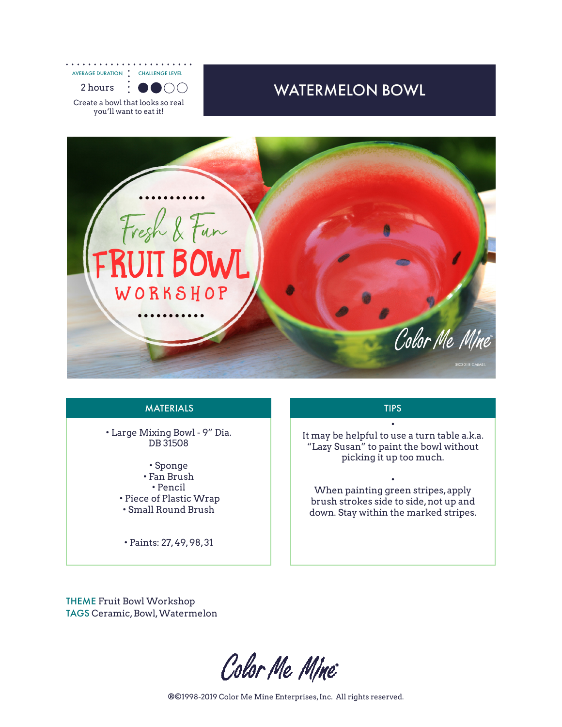. . . . . . . . . . . AVERAGE DURATION CHALLENGE LEVEL 2 hours :  $\bullet$  ( )( )

Create a bowl that looks so real you'll want to eat it!

## WATERMELON BOWL



## MATERIALS **THE EXAMPLE TIPS**

• Large Mixing Bowl - 9" Dia. DB 31508

- Sponge • Fan Brush • Pencil • Piece of Plastic Wrap • Small Round Brush
- Paints: 27, 49, 98, 31

• It may be helpful to use a turn table a.k.a. "Lazy Susan" to paint the bowl without picking it up too much.

• When painting green stripes, apply brush strokes side to side, not up and down. Stay within the marked stripes.

THEME Fruit Bowl Workshop TAGS Ceramic, Bowl, Watermelon

Color Me Mine